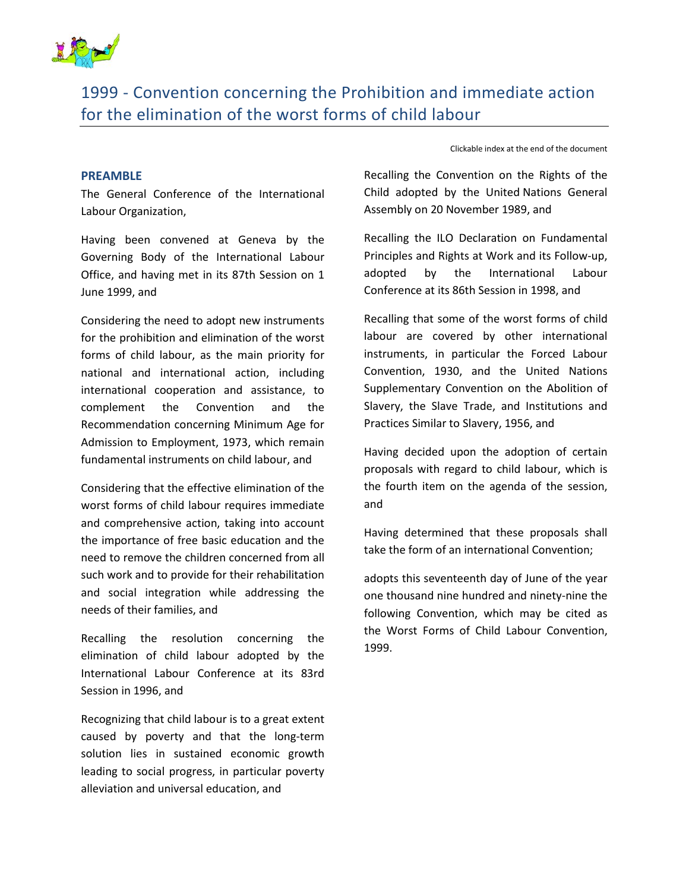

# 1999 - Convention concerning the Prohibition and immediate action for the elimination of the worst forms of child labour

## <span id="page-0-0"></span>**PREAMBLE**

The General Conference of the International Labour Organization,

Having been convened at Geneva by the Governing Body of the International Labour Office, and having met in its 87th Session on 1 June 1999, and

Considering the need to adopt new instruments for the prohibition and elimination of the worst forms of child labour, as the main priority for national and international action, including international cooperation and assistance, to complement the Convention and the Recommendation concerning Minimum Age for Admission to Employment, 1973, which remain fundamental instruments on child labour, and

Considering that the effective elimination of the worst forms of child labour requires immediate and comprehensive action, taking into account the importance of free basic education and the need to remove the children concerned from all such work and to provide for their rehabilitation and social integration while addressing the needs of their families, and

Recalling the resolution concerning the elimination of child labour adopted by the International Labour Conference at its 83rd Session in 1996, and

Recognizing that child labour is to a great extent caused by poverty and that the long-term solution lies in sustained economic growth leading to social progress, in particular poverty alleviation and universal education, and

#### Clickable index at the end of the document

Recalling the Convention on the Rights of the Child adopted by the United Nations General Assembly on 20 November 1989, and

Recalling the ILO Declaration on Fundamental Principles and Rights at Work and its Follow-up, adopted by the International Labour Conference at its 86th Session in 1998, and

Recalling that some of the worst forms of child labour are covered by other international instruments, in particular the Forced Labour Convention, 1930, and the United Nations Supplementary Convention on the Abolition of Slavery, the Slave Trade, and Institutions and Practices Similar to Slavery, 1956, and

Having decided upon the adoption of certain proposals with regard to child labour, which is the fourth item on the agenda of the session, and

Having determined that these proposals shall take the form of an international Convention;

adopts this seventeenth day of June of the year one thousand nine hundred and ninety-nine the following Convention, which may be cited as the Worst Forms of Child Labour Convention, 1999.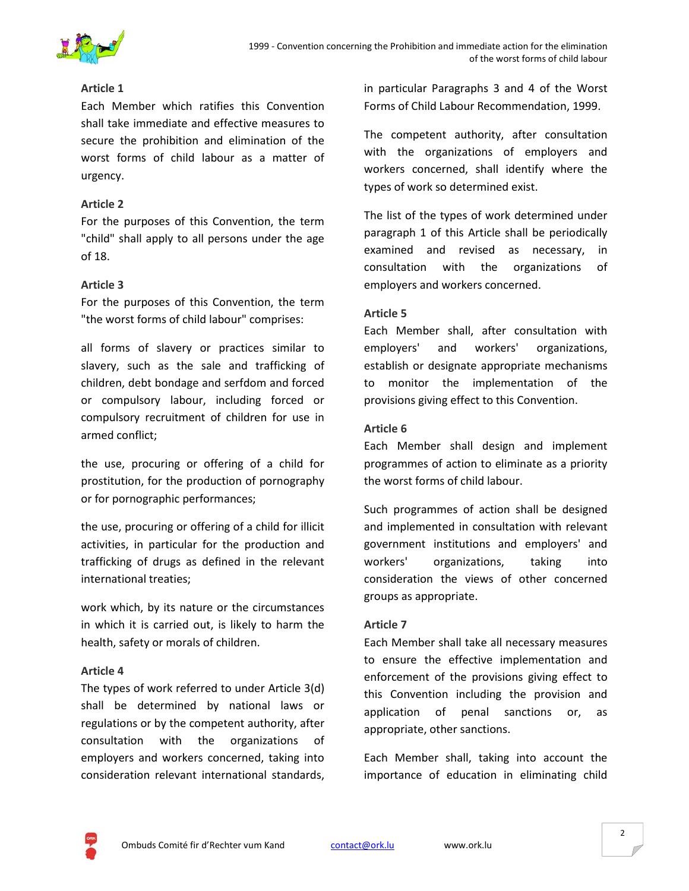

## <span id="page-1-0"></span>**Article 1**

Each Member which ratifies this Convention shall take immediate and effective measures to secure the prohibition and elimination of the worst forms of child labour as a matter of urgency.

## <span id="page-1-1"></span>**Article 2**

For the purposes of this Convention, the term "child" shall apply to all persons under the age of 18.

## <span id="page-1-2"></span>**Article 3**

For the purposes of this Convention, the term "the worst forms of child labour" comprises:

all forms of slavery or practices similar to slavery, such as the sale and trafficking of children, debt bondage and serfdom and forced or compulsory labour, including forced or compulsory recruitment of children for use in armed conflict;

the use, procuring or offering of a child for prostitution, for the production of pornography or for pornographic performances;

the use, procuring or offering of a child for illicit activities, in particular for the production and trafficking of drugs as defined in the relevant international treaties;

work which, by its nature or the circumstances in which it is carried out, is likely to harm the health, safety or morals of children.

## <span id="page-1-3"></span>**Article 4**

The types of work referred to under Article 3(d) shall be determined by national laws or regulations or by the competent authority, after consultation with the organizations of employers and workers concerned, taking into consideration relevant international standards,

in particular Paragraphs 3 and 4 of the Worst Forms of Child Labour Recommendation, 1999.

The competent authority, after consultation with the organizations of employers and workers concerned, shall identify where the types of work so determined exist.

The list of the types of work determined under paragraph 1 of this Article shall be periodically examined and revised as necessary, in consultation with the organizations of employers and workers concerned.

## <span id="page-1-4"></span>**Article 5**

Each Member shall, after consultation with employers' and workers' organizations, establish or designate appropriate mechanisms to monitor the implementation of the provisions giving effect to this Convention.

## <span id="page-1-5"></span>**Article 6**

Each Member shall design and implement programmes of action to eliminate as a priority the worst forms of child labour.

Such programmes of action shall be designed and implemented in consultation with relevant government institutions and employers' and workers' organizations, taking into consideration the views of other concerned groups as appropriate.

## <span id="page-1-6"></span>**Article 7**

Each Member shall take all necessary measures to ensure the effective implementation and enforcement of the provisions giving effect to this Convention including the provision and application of penal sanctions or, as appropriate, other sanctions.

Each Member shall, taking into account the importance of education in eliminating child

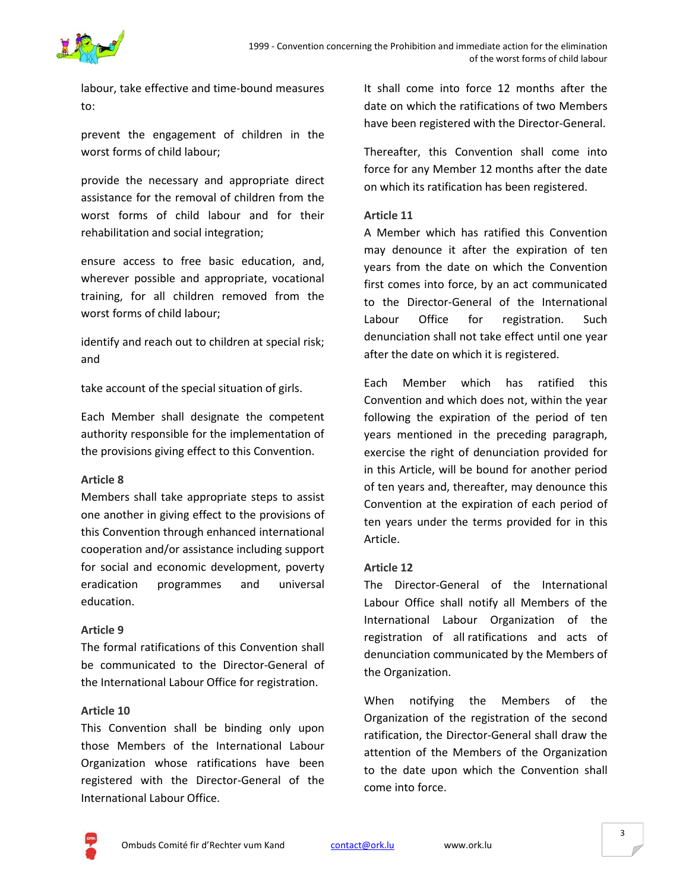

labour, take effective and time-bound measures to:

prevent the engagement of children in the worst forms of child labour;

provide the necessary and appropriate direct assistance for the removal of children from the worst forms of child labour and for their rehabilitation and social integration;

ensure access to free basic education, and, wherever possible and appropriate, vocational training, for all children removed from the worst forms of child labour;

identify and reach out to children at special risk; and

take account of the special situation of girls.

Each Member shall designate the competent authority responsible for the implementation of the provisions giving effect to this Convention.

## <span id="page-2-0"></span>**Article 8**

Members shall take appropriate steps to assist one another in giving effect to the provisions of this Convention through enhanced international cooperation and/or assistance including support for social and economic development, poverty eradication programmes and universal education.

## <span id="page-2-1"></span>**Article 9**

The formal ratifications of this Convention shall be communicated to the Director-General of the International Labour Office for registration.

## <span id="page-2-2"></span>**Article 10**

This Convention shall be binding only upon those Members of the International Labour Organization whose ratifications have been registered with the Director-General of the International Labour Office.

It shall come into force 12 months after the date on which the ratifications of two Members have been registered with the Director-General.

Thereafter, this Convention shall come into force for any Member 12 months after the date on which its ratification has been registered.

## <span id="page-2-3"></span>**Article 11**

A Member which has ratified this Convention may denounce it after the expiration of ten years from the date on which the Convention first comes into force, by an act communicated to the Director-General of the International Labour Office for registration. Such denunciation shall not take effect until one year after the date on which it is registered.

Each Member which has ratified this Convention and which does not, within the year following the expiration of the period of ten years mentioned in the preceding paragraph, exercise the right of denunciation provided for in this Article, will be bound for another period of ten years and, thereafter, may denounce this Convention at the expiration of each period of ten years under the terms provided for in this Article.

## <span id="page-2-4"></span>**Article 12**

The Director-General of the International Labour Office shall notify all Members of the International Labour Organization of the registration of all ratifications and acts of denunciation communicated by the Members of the Organization.

When notifying the Members of the Organization of the registration of the second ratification, the Director-General shall draw the attention of the Members of the Organization to the date upon which the Convention shall come into force.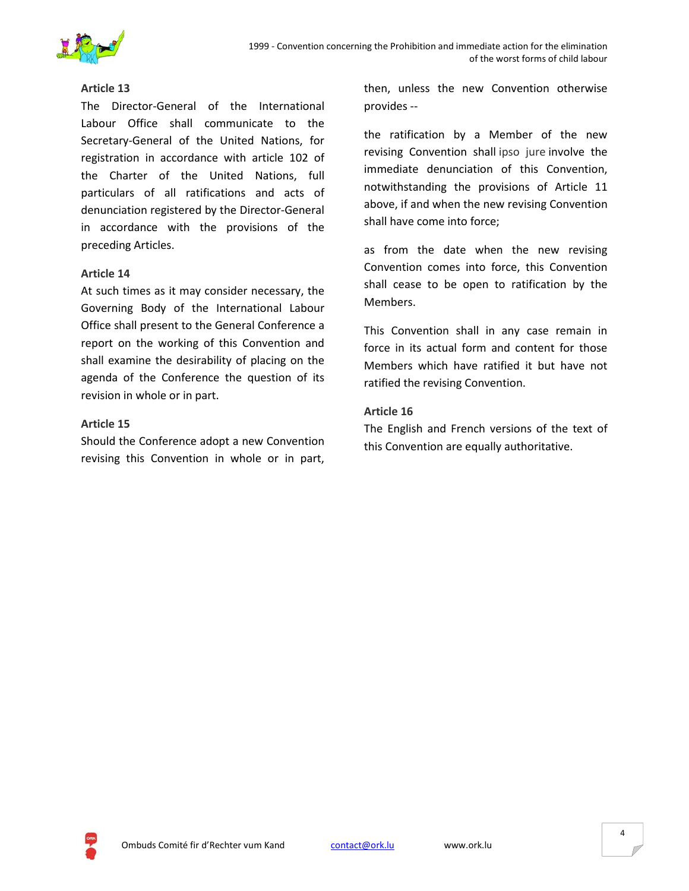

#### <span id="page-3-0"></span>**Article 13**

The Director-General of the International Labour Office shall communicate to the Secretary-General of the United Nations, for registration in accordance with article 102 of the Charter of the United Nations, full particulars of all ratifications and acts of denunciation registered by the Director-General in accordance with the provisions of the preceding Articles.

#### <span id="page-3-1"></span>**Article 14**

At such times as it may consider necessary, the Governing Body of the International Labour Office shall present to the General Conference a report on the working of this Convention and shall examine the desirability of placing on the agenda of the Conference the question of its revision in whole or in part.

#### <span id="page-3-2"></span>**Article 15**

Should the Conference adopt a new Convention revising this Convention in whole or in part,

then, unless the new Convention otherwise provides --

the ratification by a Member of the new revising Convention shall ipso jure involve the immediate denunciation of this Convention, notwithstanding the provisions of Article 11 above, if and when the new revising Convention shall have come into force;

as from the date when the new revising Convention comes into force, this Convention shall cease to be open to ratification by the Members.

This Convention shall in any case remain in force in its actual form and content for those Members which have ratified it but have not ratified the revising Convention.

#### <span id="page-3-3"></span>**Article 16**

The English and French versions of the text of this Convention are equally authoritative.